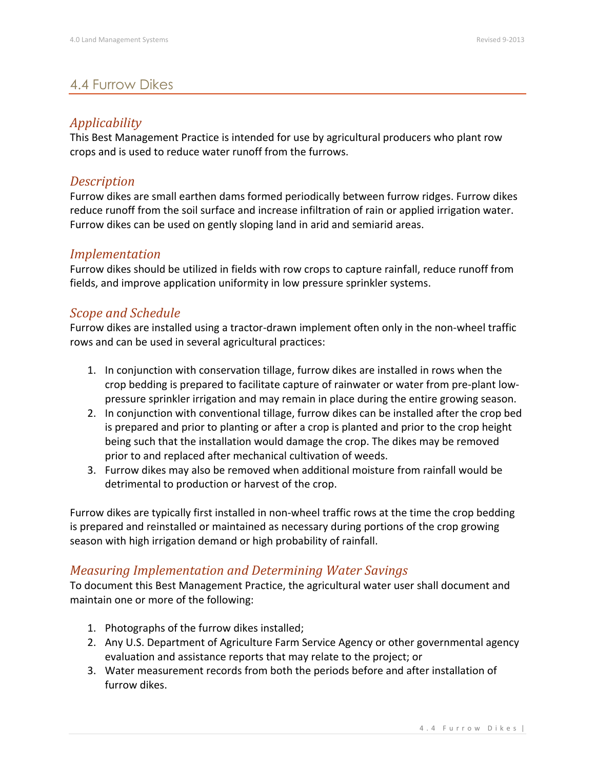# 4.4 Furrow Dikes

## *Applicability*

This Best Management Practice is intended for use by agricultural producers who plant row crops and is used to reduce water runoff from the furrows.

#### *Description*

Furrow dikes are small earthen dams formed periodically between furrow ridges. Furrow dikes reduce runoff from the soil surface and increase infiltration of rain or applied irrigation water. Furrow dikes can be used on gently sloping land in arid and semiarid areas.

#### *Implementation*

Furrow dikes should be utilized in fields with row crops to capture rainfall, reduce runoff from fields, and improve application uniformity in low pressure sprinkler systems.

## *Scope and Schedule*

Furrow dikes are installed using a tractor-drawn implement often only in the non-wheel traffic rows and can be used in several agricultural practices:

- 1. In conjunction with conservation tillage, furrow dikes are installed in rows when the crop bedding is prepared to facilitate capture of rainwater or water from pre-plant lowpressure sprinkler irrigation and may remain in place during the entire growing season.
- 2. In conjunction with conventional tillage, furrow dikes can be installed after the crop bed is prepared and prior to planting or after a crop is planted and prior to the crop height being such that the installation would damage the crop. The dikes may be removed prior to and replaced after mechanical cultivation of weeds.
- 3. Furrow dikes may also be removed when additional moisture from rainfall would be detrimental to production or harvest of the crop.

Furrow dikes are typically first installed in non-wheel traffic rows at the time the crop bedding is prepared and reinstalled or maintained as necessary during portions of the crop growing season with high irrigation demand or high probability of rainfall.

## *Measuring Implementation and Determining Water Savings*

To document this Best Management Practice, the agricultural water user shall document and maintain one or more of the following:

- 1. Photographs of the furrow dikes installed;
- 2. Any U.S. Department of Agriculture Farm Service Agency or other governmental agency evaluation and assistance reports that may relate to the project; or
- 3. Water measurement records from both the periods before and after installation of furrow dikes.